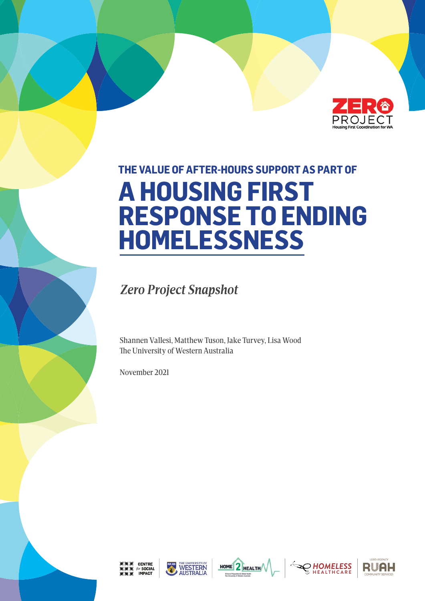

# **THE VALUE OF AFTER-HOURS SUPPORT AS PART OF A HOUSING FIRST RESPONSE TO ENDING HOMELESSNESS**

 *Zero Project Snapshot*

Shannen Vallesi, Matthew Tuson, Jake Turvey, Lisa Wood The University of Western Australia

November 2021









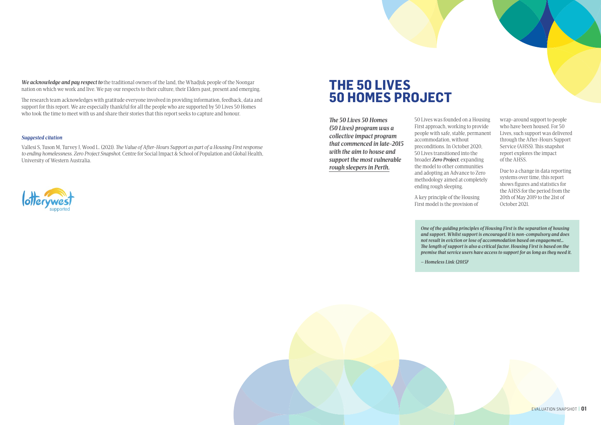*The 50 Lives 50 Homes (50 Lives) program was a collective impact program that commenced in late-2015 with the aim to house and support the most vulnerable rough sleepers in Perth.* 

50 Lives was founded on a Housing First approach, working to provide people with safe, stable, permanent accommodation, without preconditions. In October 2020, 50 Lives transitioned into the broader *Zero Project*, expanding the model to other communities and adopting an Advance to Zero methodology aimed at completely ending rough sleeping.

A key principle of the Housing First model is the provision of

wrap-around support to people who have been housed. For 50 Lives, such support was delivered through the After-Hours Support Service (AHSS). This snapshot report explores the impact of the AHSS.

Due to a change in data reporting systems over time, this report shows figures and statistics for the AHSS for the period from the 20th of May 2019 to the 21st of October 2021.

# **THE 50 LIVES 50 HOMES PROJECT**

*We acknowledge and pay respect to* the traditional owners of the land, the Whadjuk people of the Noongar nation on which we work and live. We pay our respects to their culture, their Elders past, present and emerging.

The research team acknowledges with gratitude everyone involved in providing information, feedback, data and support for this report. We are especially thankful for all the people who are supported by 50 Lives 50 Homes who took the time to meet with us and share their stories that this report seeks to capture and honour.

#### *Suggested citation*

Vallesi S, Tuson M, Turvey J, Wood L. (2021). *The Value of After-Hours Support as part of a Housing First response to ending homelessness. Zero Project Snapshot.* Centre for Social Impact & School of Population and Global Health, University of Western Australia.



*One of the guiding principles of Housing First is the separation of housing and support. Whilst support is encouraged it is non-compulsory and does not result in eviction or lose of accommodation based on engagement… The length of support is also a critical factor. Housing First is based on the premise that service users have access to support for as long as they need it.* 

*– Homeless Link (2015)1*

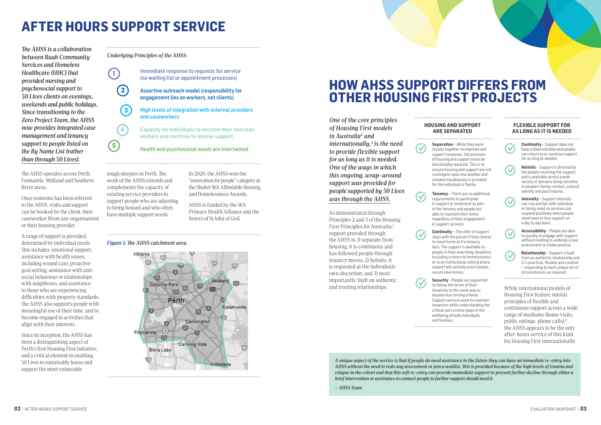# **AFTER HOURS SUPPORT SERVICE**

# **HOW AHSS SUPPORT DIFFERS FROM OTHER HOUSING FIRST PROJECTS**

## **HOUSING AND SUPPORT**

# **ARE SEPARATED**

**Separation** – While they work closely together to maintain and support tenancies, the provision of housing and support must be functionally separate. This is to ensure housing and support are not contingent upon one another and unwavering advocacy is provided for the individual or family.

**Tenancy** – There are no additional requirements to participate in support or treatment as part of the tenancy and people are able to maintain their home regardless of their engagement in support services.

**Continuity** – The offer of support stays with the person if they choose to move home or if a tenancy fails. The support is available to people in their new living situations including a return to homelessness or to an institutional setting where support will actively assist people secure new homes.

**Security** – People are supported to follow the terms of their tenancies in the same way as anyone else renting a home. Support services work to maintain tenancies while understanding the critical part a home plays in the wellbeing of both individuals and families.

#### **FLEXIBLE SUPPORT FOR AS LONG AS IT IS NEEDED**



**Continuity** – Support does not have a fixed end date and people can return to or continue support for as long as needed.



**Holistic** – Support is directed by the people receiving the support, and is available across a wide variety of domains being sensitive to people's family context, cultural identity and past trauma.



**Intensity** – Support intensity can rise and fall with individual or family need so services can respond positively when people need more or less support on a day to day basis.



**Accessibility** – People are able to quickly re-engage with support without needing to undergo a new assessment or intake process.

**Relationship** – Support is built from an authentic relationship and it is practical, flexible and creative – responding to each unique set of circumstances as required.

rough sleepers in Perth. The work of the AHSS extends and complements the capacity of existing service providers to support people who are adjusting to being housed and who often have multiple support needs.

In 2020, the AHSS won the "innovation for people" category at the Shelter WA Affordable Housing and Homelessness Awards.

AHSS is funded by the WA Primary Health Alliance and the Sisters of St John of God.

*The AHSS is a collaboration between Ruah Community Services and Homeless Healthcare (HHC) that provided nursing and psychosocial support to 50 Lives clients on evenings, weekends and public holidays. Since transitioning to the Zero Project Team, the AHSS now provides integrated case management and tenancy support to people listed on the By Name List (rather than through 50 Lives).*

> and trusting relationships. The follow the terms of their<br>terms of the same way as While international models of Housing First feature similar principles of flexible and continuous support across a wide range of mediums (home visits, public outings, phone calls),4 the AHSS appears to be the only after-hours service of this kind for Housing First internationally.

The AHSS operates across Perth, Fremantle, Midland and Southern River areas.

Once someone has been referred to the AHSS, visits and support can be booked by the client, their caseworker (from any organisation), or their housing provider.

A range of support is provided, determined by individual needs. This includes: emotional support; assistance with health issues, including wound care; proactive goal setting; assistance with antisocial behaviour or relationships with neighbours; and assistance to those who are experiencing difficulties with property standards. The AHSS also supports people with meaningful use of their time, and to become engaged in activities that align with their interests.

Since its inception, the AHSS has been a distinguishing aspect of Perth's first Housing First initiative, and a critical element in enabling 50 Lives to sustainably house and support the most vulnerable

Immediate response to requests for service (no waiting list or appointment processes)

Assertive outreach model (responsibility for engagement lies on workers, not clients)

High levels of integration with external providers and caseworkers

Capacity for individuals to become their own lead workers and continue to receive support

#### Health and psychosocial needs are intertwined

**1**

**2**

**3**

**4**

**5**



#### *Figure 1: The AHSS catchment area*

*Underlying Principles of the AHSS:*

*A unique aspect of the service is that if people do need assistance in the future they can have an immediate re-entry into AHSS without the need to redo any assessment or join a waitlist. This is provided because of the high levels of trauma and relapse in the cohort and that this soft re-entry can provide immediate support to prevent further decline through either a brief intervention or assistance to connect people to further support should need it.* 

*– AHSS Team*

*One of the core principles of Housing First models*  in Australia<sup>2</sup> and *internationally,3 is the need to provide flexible support for as long as it is needed. One of the ways in which this ongoing, wrap-around support was provided for people supported by 50 Lives was through the AHSS.* 

As demonstrated through Principles 2 and 3 of the Housing First Principles for Australia,<sup>2</sup> support provided through the AHSS is: 1) separate from housing; it is continuous and has followed people through tenancy moves; 2) holistic; it is requested at the individuals' own discretion; and 3) most importantly, built on authentic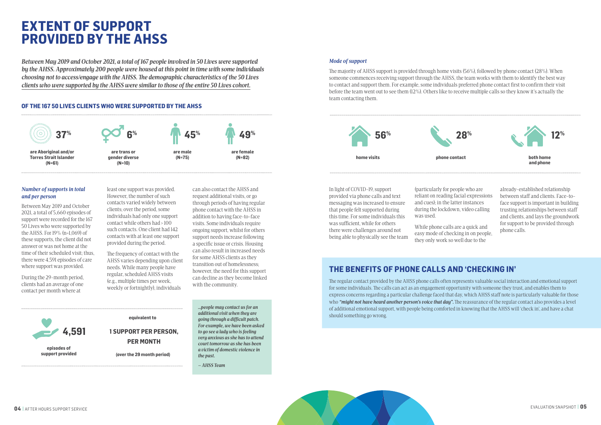

*Between May 2019 and October 2021, a total of 167 people involved in 50 Lives were supported by the AHSS. Approximately 200 people were housed at this point in time with some individuals choosing not to access/engage with the AHSS. The demographic characteristics of the 50 Lives clients who were supported by the AHSS were similar to those of the entire 50 Lives cohort.* 

#### *Mode of support*

The majority of AHSS support is provided through home visits (56%), followed by phone contact (28%). When someone commences receiving support through the AHSS, the team works with them to identify the best way to contact and support them. For example, some individuals preferred phone contact first to confirm their visit before the team went out to see them (12%). Others like to receive multiple calls so they know it's actually the team contacting them.

#### *Number of supports in total and per person*

Between May 2019 and October 2021, a total of 5,660 episodes of support were recorded for the 167 50 Lives who were supported by the AHSS. For 19% (n=1,069) of these supports, the client did not answer or was not home at the time of their scheduled visit; thus, there were 4,591 episodes of care where support was provided.

During the 29-month period, clients had an average of one contact per month where at

least one support was provided. However, the number of such contacts varied widely between clients; over the period, some individuals had only one support contact while others had > 100 such contacts. One client had 142 contacts with at least one support provided during the period.

The frequency of contact with the AHSS varies depending upon client needs. While many people have regular, scheduled AHSS visits (e.g., multiple times per week, weekly or fortnightly), individuals

can also contact the AHSS and request additional visits, or go through periods of having regular phone contact with the AHSS in addition to having face-to-face visits. Some individuals require ongoing support, whilst for others support needs increase following a specific issue or crisis. Housing can also result in increased needs for some AHSS clients as they transition out of homelessness; however, the need for this support can decline as they become linked with the community.

In light of COVID-19, support provided via phone calls and text messaging was increased to ensure that people felt supported during this time. For some individuals this was sufficient, while for others there were challenges around not being able to physically see the team (particularly for people who are reliant on reading facial expressions and cues); in the latter instances during the lockdown, video calling was used.

While phone calls are a quick and easy mode of checking in on people, they only work so well due to the

already-established relationship between staff and clients. Face-toface support is important in building trusting relationships between staff and clients, and lays the groundwork for support to be provided through phone calls.

*…people may contact us for an additional visit when they are going through a difficult patch. For example, we have been asked to go see a lady who is feeling very anxious as she has to attend court tomorrow as she has been a victim of domestic violence in the past.* 

*– AHSS Team*

# **EXTENT OF SUPPORT PROVIDED BY THE AHSS**



### **OF THE 167 50 LIVES CLIENTS WHO WERE SUPPORTED BY THE AHSS**

**equivalent to**

 **(over the 29 month period)**

**1 SUPPORT PER PERSON, PER MONTH**







## **THE BENEFITS OF PHONE CALLS AND 'CHECKING IN'**

The regular contact provided by the AHSS phone calls often represents valuable social interaction and emotional support for some individuals. The calls can act as an engagement opportunity with someone they trust, and enables them to express concerns regarding a particular challenge faced that day, which AHSS staff note is particularly valuable for those who *"might not have heard another person's voice that day"*. The reassurance of the regular contact also provides a level of additional emotional support, with people being comforted in knowing that the AHSS will 'check in', and have a chat should something go wrong.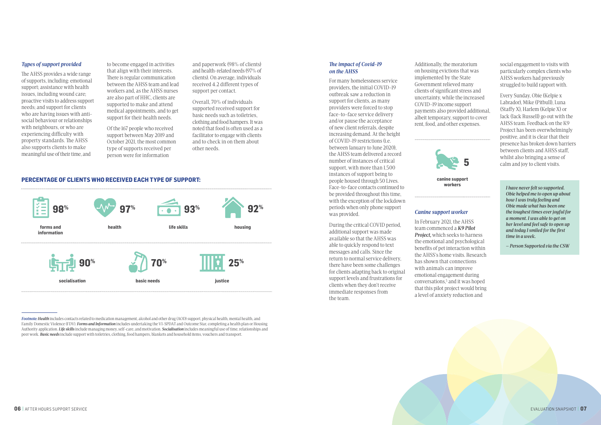#### *Types of support provided*

The AHSS provides a wide range of supports, including: emotional support; assistance with health issues, including wound care; proactive visits to address support needs; and support for clients who are having issues with antisocial behaviour or relationships with neighbours, or who are experiencing difficulty with property standards. The AHSS also supports clients to make meaningful use of their time, and

to become engaged in activities that align with their interests. There is regular communication between the AHSS team and lead workers and, as the AHSS nurses are also part of HHC, clients are supported to make and attend medical appointments, and to get support for their health needs.

Of the 167 people who received support between May 2019 and October 2021, the most common type of supports received per person were for information

and paperwork (98% of clients) and health-related needs (97% of clients). On average, individuals received 4.2 different types of support per contact.

Overall, 70% of individuals supported received support for basic needs such as toiletries, clothing and food hampers. It was noted that food is often used as a facilitator to engage with clients and to check in on them about other needs.

#### *The impact of Covid-19 on the AHSS*

For many homelessness service providers, the initial COVID-19 outbreak saw a reduction in support for clients, as many providers were forced to stop face-to-face service delivery and/or pause the acceptance of new client referrals, despite increasing demand. At the height of COVID-19 restrictions (i.e. between January to June 2020), the AHSS team delivered a record number of instances of critical support, with more than 1,500 instances of support being to people housed through 50 Lives. Face-to-face contacts continued to be provided throughout this time, with the exception of the lockdown periods when only phone support was provided.

During the critical COVID period, additional support was made available so that the AHSS was able to quickly respond to text messages and calls. Since the return to normal service delivery, there have been some challenges for clients adapting back to original support levels and frustrations for clients when they don't receive immediate responses from the team.

Additionally, the moratorium on housing evictions that was implemented by the State Government relieved many clients of significant stress and uncertainty, while the increased COVID-19 income support payments also provided additional, albeit temporary, support to cover rent, food, and other expenses.

### *Canine support worker*

In February 2021, the AHSS team commenced a *K9 Pilot Project,* which seeks to harness the emotional and psychological benefits of pet interaction within the AHSS's home visits. Research has shown that connections with animals can improve emotional engagement during conversations,5 and it was hoped that this pilot project would bring a level of anxiety reduction and

social engagement to visits with particularly complex clients who AHSS workers had previously struggled to build rapport with.

Every Sunday, Obie (Kelpie x Labrador), Mike (Pitbull), Luna (Staffy X), Harlem (Kelpie X) or Jack (Jack Russell) go out with the AHSS team. Feedback on the K9 Project has been overwhelmingly positive, and it is clear that their presence has broken down barriers between clients and AHSS staff, whilst also bringing a sense of calm and joy to client visits.

*Footnote:Health* includes contacts related to medication management, alcohol and other drug (AOD) support, physical health, mental health, and Family Domestic Violence (FDV). *Forms and Information* includes undertaking the VI-SPDAT and Outcome Star, completing a health plan or Housing Authority application. *Life skills* include managing money, self-care, and motivation. *Socialisation* includes meaningful use of time, relationships and peer work. *Basic needs* include support with toiletries, clothing, food hampers, blankets and household items, vouchers and transport.

#### **PERCENTAGE OF CLIENTS WHO RECEIVED EACH TYPE OF SUPPORT:**



*I have never felt so supported. Obie helped me to open up about how I was truly feeling and Obie made what has been one the toughest times ever joyful for a moment. I was able to get on her level and feel safe to open up and today I smiled for the first time in a week.* 

*– Person Supported via the CSW*

**canine support workers**

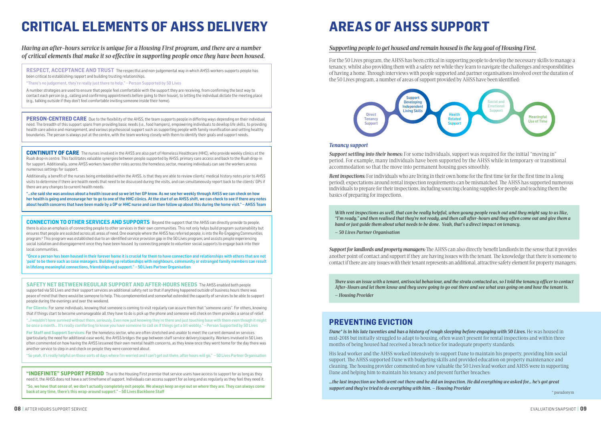

### *Having an after-hours service is unique for a Housing First program, and there are a number of critical elements that make it so effective in supporting people once they have been housed.*

### *Supporting people to get housed and remain housed is the key goal of Housing First.*

For the 50 Lives program, the AHSS has been critical in supporting people to develop the necessary skills to manage a tenancy, whilst also providing them with a safety net while they learn to navigate the challenges and responsibilities of having a home. Through interviews with people supported and partner organisations involved over the duration of the 50 Lives program, a number of areas of support provided by AHSS have been identified:

#### *Tenancy support*

*Support settling into their homes:* For some individuals, support was required for the initial "moving in" period. For example, many individuals have been supported by the AHSS while in temporary or transitional accommodation so that the move into permanent housing goes smoothly.

*Rent inspections:* For individuals who are living in their own home for the first time (or for the first time in a long period), expectations around rental inspection requirements can be mismatched. The AHSS has supported numerous individuals to prepare for their inspections, including sourcing cleaning supplies for people and teaching them the basics of preparing for inspections.

"INDEFINITE" SUPPORT PERIOD True to the Housing First premise that service users have access to support for as long as they need it, the AHSS does not have a set timeframe of support. Individuals can access support for as long and as regularly as they feel they need it.

**RESPECT, ACCEPTANCE AND TRUST** The respectful and non-judgemental way in which AHSS workers supports people has been critical to establishing rapport and building trusting relationships.

**CONTINUITY OF CARE** The nurses involved in the AHSS are also part of Homeless Healthcare (HHC), who provide weekly clinics at the Ruah drop-in centre. This facilitates valuable synergies between people supported by AHSS, primary care access and back to the Ruah drop-in for support. Additionally, some AHSS workers have other roles across the homeless sector, meaning individuals can see the workers across numerous settings for support.

"There's no judgement, they're really just there to help." – Person Supported by 50 Lives

A number strategies are used to ensure that people feel comfortable with the support they are receiving, from confirming the best way to contact each person (e.g., calling and confirming appointments before going to their house), to letting the individual dictate the meeting place (e.g., talking outside if they don't feel comfortable inviting someone inside their home).

**PERSON-CENTRED CARE** Due to the flexibility of the AHSS, the team supports people in differing ways depending on their individual need. The breadth of this support spans from providing basic needs (i.e., food hampers), empowering individuals to develop life skills, to providing health care advice and management, and various psychosocial support such as supporting people with family reunification and setting healthy boundaries. The person is always put at the centre, with the team working closely with them to identify their goals and support needs.

"So, we have that sense of, we don't actually completely exit people. We always keep an eye out on where they are. They can always come back at any time, there's this wrap-around support." – 50 Lives Backbone Staff

Additionally, a benefit of the nurses being embedded within the AHSS, is that they are able to review clients' medical history notes prior to AHSS visits to determine if there are health needs that need to be discussed during the visits, and can simultaneously report back to the clients' GPs if there are any changes to current health needs.

"…she said she was anxious about a health issue and so we let her GP know. As we see her weekly through AHSS we can check on how her health is going and encourage her to go to one of the HHC clinics. At the start of an AHSS shift, we can check to see if there any notes about health concerns that have been made by a GP or HHC nurse and can then follow up about this during the home visit." – AHSS Team

> *Dane\** is in his late twenties and has a history of rough sleeping before engaging with 50 Lives. He was housed in mid-2018 but initially struggled to adapt to housing, often wasn't present for rental inspections and within three months of being housed had received a breach notice for inadequate property standards.

**SAFETY NET BETWEEN REGULAR SUPPORT AND AFTER-HOURS NEEDS** The AHSS enabled both people supported via 50 Lives and their support services an additional safety net so that if anything happened outside of business hours there was peace of mind that there would be someone to help. This complemented and somewhat extended the capacity of services to be able to support people during the evenings and over the weekend.

**For Clients:** For some individuals, knowing that someone is coming to visit regularly can assure them that "someone cares". For others, knowing that if things start to become unmanageable all they have to do is pick up the phone and someone will check on them provides a sense of relief.

"…I wouldn't have survived without them, seriously. Even now just knowing they're there and just touching base with them even though it might be once a month… It's really comforting to know you have someone to call on if things get a bit wobbly." – Person Supported by 50 Lives

**For Staff and Support Services:** For the homeless sector, who are often stretched and unable to meet the current demand on services (particularly the need for additional case work), the AHSS bridges the gap between staff service delivery/capacity. Workers involved in 50 Lives often commented on how having the AHSS lessened their own mental health concerns, as they knew once they went home for the day there was another service to step in and check on people they were concerned about.

"So yeah, it's really helpful on those sorts of days where I'm worried and I can't get out there, after hours will go." – 50 Lives Partner Organisation

**CONNECTION TO OTHER SERVICES AND SUPPORTS** Beyond the support that the AHSS can directly provide to people, there is also an emphasis of connecting people to other services in their own communities. This not only helps build program sustainability but ensures that people are assisted across all areas of need. One example where the AHSS has referred people, is into the Re-Engaging Communities program.6 This program was established due to an identified service provision gap in the 50 Lives program, and assists people experiencing social isolation and disengagement once they have been housed by connecting people to volunteer social supports to engage back into their local communities.

"Once a person has been housed in their forever home it is crucial for them to have connection and relationships with others that are not 'paid' to be there such as case managers. Building up relationships with neighbours, community or estranged family members can result in lifelong meaningful connections, friendships and support." – 50 Lives Partner Organisation

# **CRITICAL ELEMENTS OF AHSS DELIVERY AREAS OF AHSS SUPPORT**

*Support for landlords and property managers:* The AHSS can also directly benefit landlords in the sense that it provides another point of contact and support if they are having issues with the tenant. The knowledge that there is someone to contact if there are any issues with their tenant represents an additional, attractive safety element for property managers.

*With rent inspections as well, that can be really helpful, when young people reach out and they might say to us like, "I'm ready," and then realised that they're not ready, and then call after-hours and they often come out and give them a hand or just guide them about what needs to be done. Yeah, that's a direct impact on tenancy.* 

*– 50 Lives Partner Organisation*

*There was an issue with a tenant, antisocial behaviour, and the strata contacted us, so I told the tenancy officer to contact After-Hours and let them know and they were going to go out there and see what was going on and how the tenant is. – Housing Provider* 



### **PREVENTING EVICTION**

His lead worker and the AHSS worked intensively to support Dane to maintain his property, providing him social support. The AHSS supported Dane with budgeting skills and provided education on property maintenance and cleaning. The housing provider commented on how valuable the 50 Lives lead worker and AHSS were in supporting Dane and helping him to maintain his tenancy and prevent further breaches:

*…the last inspection we both went out there and he did an inspection. He did everything we asked for… he's got great support and they've tried to do everything with him. – Housing Provider*

\* pseudonym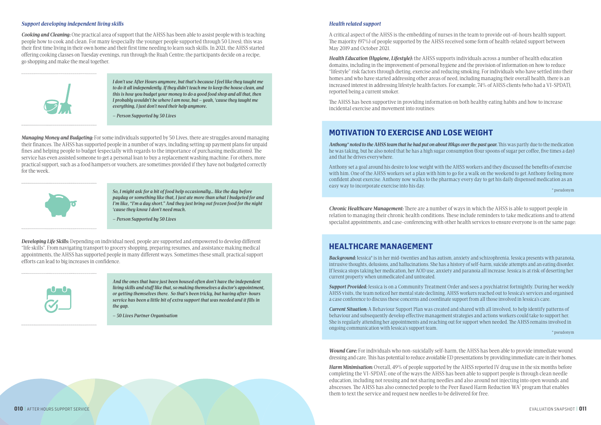#### *Support developing independent living skills*

*Cooking and Cleaning:* One practical area of support that the AHSS has been able to assist people with is teaching people how to cook and clean. For many (especially the younger people supported through 50 Lives), this was their first time living in their own home and their first time needing to learn such skills. In 2021, the AHSS started offering cooking classes on Tuesday evenings, run through the Ruah Centre; the participants decide on a recipe, go shopping and make the meal together.



#### *Health related support*

A critical aspect of the AHSS is the embedding of nurses in the team to provide out-of-hours health support. The majority (97%) of people supported by the AHSS received some form of health-related support between May 2019 and October 2021.

*Health Education (Hygiene, Lifestyle):* the AHSS supports individuals across a number of health education domains, including in the improvement of personal hygiene and the provision of information on how to reduce "lifestyle" risk factors through dieting, exercise and reducing smoking. For individuals who have settled into their homes and who have started addressing other areas of need, including managing their overall health, there is an increased interest in addressing lifestyle health factors. For example, 74% of AHSS clients (who had a VI-SPDAT), reported being a current smoker.

The AHSS has been supportive in providing information on both healthy eating habits and how to increase incidental exercise and movement into routines:

*Chronic Healthcare Management:* There are a number of ways in which the AHSS is able to support people in relation to managing their chronic health conditions. These include reminders to take medications and to attend specialist appointments, and case-conferencing with other health services to ensure everyone is on the same page:

*Wound Care:* For individuals who non-suicidally self-harm, the AHSS has been able to provide immediate wound dressing and care. This has potential to reduce avoidable ED presentations by providing immediate care in their homes.

Anthony set a goal around his desire to lose weight with the AHSS workers and they discussed the benefits of exercise with him. One of the AHSS workers set a plan with him to go for a walk on the weekend to get Anthony feeling more confident about exercise. Anthony now walks to the pharmacy every day to get his daily dispensed medication as an easy way to incorporate exercise into his day.<br>
The second state is a second state of the second state into his day.

*Harm Minimisation:* Overall, 49% of people supported by the AHSS reported IV drug use in the six months before completing the VI-SPDAT; one of the ways the AHSS has been able to support people is through clean needle education, including not reusing and not sharing needles and also around not injecting into open wounds and abscesses. The AHSS has also connected people to the Peer Based Harm Reduction WA7 program that enables them to text the service and request new needles to be delivered for free.

*Managing Money and Budgeting:* For some individuals supported by 50 Lives, there are struggles around managing their finances. The AHSS has supported people in a number of ways, including setting up payment plans for unpaid fines and helping people to budget (especially with regards to the importance of purchasing medications). The service has even assisted someone to get a personal loan to buy a replacement washing machine. For others, more practical support, such as a food hampers or vouchers, are sometimes provided if they have not budgeted correctly for the week.



*Developing Life Skills:* Depending on individual need, people are supported and empowered to develop different "life skills". From navigating transport to grocery shopping, preparing resumes, and assistance making medical appointments, the AHSS has supported people in many different ways. Sometimes these small, practical support efforts can lead to big increases in confidence.



*So, I might ask for a bit of food help occasionally… like the day before payday or something like that, I just ate more than what I budgeted for and I'm like, "I'm a day short." And they just bring out frozen food for the night 'cause they know I don't need much.* 

*– Person Supported by 50 Lives*

*And the ones that have just been housed often don't have the independent living skills and stuff like that, so making themselves a doctor's appointment, or getting themselves there. So that's been tricky, but having after-hours service has been a little bit of extra support that was needed and it fills in the gap.* 

*– 50 Lives Partner Organisation*

## **MOTIVATION TO EXERCISE AND LOSE WEIGHT**

*Anthony\* noted to the AHSS team that he had put on about 10kgs over the past year.* This was partly due to the medication he was taking, but he also noted that he has a high sugar consumption (four spoons of sugar per coffee, five times a day) and that he drives everywhere.

*I don't use After Hours anymore, but that's because I feel like they taught me to do it all independently. If they didn't teach me to keep the house clean, and this is how you budget your money to do a good food shop and all that, then I probably wouldn't be where I am now, but – yeah, 'cause they taught me everything, I just don't need their help anymore.* 

*– Person Supported by 50 Lives*

*Background:* Jessica\* is in her mid-twenties and has autism, anxiety and schizophrenia. Jessica presents with paranoia, intrusive thoughts, delusions, and hallucinations. She has a history of self-harm, suicide attempts and an eating disorder. If Jessica stops taking her medication, her AOD use, anxiety and paranoia all increase. Jessica is at risk of deserting her current property when unmedicated and untreated.

*Support Provided:* Jessica is on a Community Treatment Order and sees a psychiatrist fortnightly. During her weekly AHSS visits, the team noticed her mental state declining. AHSS workers reached out to Jessica's services and organised a case conference to discuss these concerns and coordinate support from all those involved in Jessica's care.

*Current Situation:* A Behaviour Support Plan was created and shared with all involved, to help identify patterns of behaviour and subsequently develop effective management strategies and actions workers could take to support her. She is regularly attending her appointments and reaching out for support when needed. The AHSS remains involved in ongoing communication with Jessica's support team.

\* pseudonym

### **HEALTHCARE MANAGEMENT**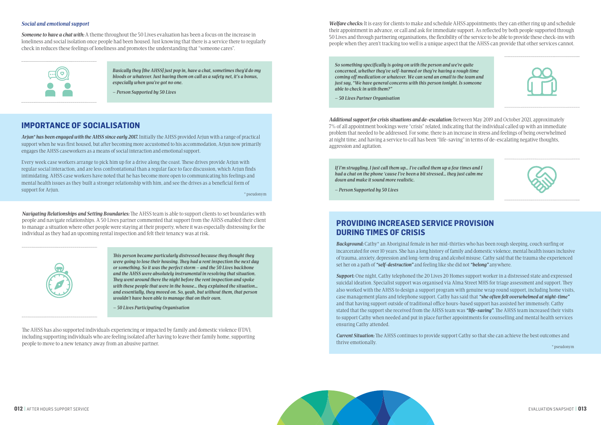





#### *Social and emotional support*

*Someone to have a chat with:* A theme throughout the 50 Lives evaluation has been a focus on the increase in loneliness and social isolation once people had been housed. Just knowing that there is a service there to regularly check in reduces these feelings of loneliness and promotes the understanding that "someone cares".



*Navigating Relationships and Setting Boundaries:* The AHSS team is able to support clients to set boundaries with people and navigate relationships. A 50 Lives partner commented that support from the AHSS enabled their client to manage a situation where other people were staying at their property, where it was especially distressing for the individual as they had an upcoming rental inspection and felt their tenancy was at risk.



The AHSS has also supported individuals experiencing or impacted by family and domestic violence (FDV), including supporting individuals who are feeling isolated after having to leave their family home, supporting people to move to a new tenancy away from an abusive partner.

*Welfare checks:* It is easy for clients to make and schedule AHSS appointments; they can either ring up and schedule their appointment in advance, or call and ask for immediate support. As reflected by both people supported through 50 Lives and through partnering organisations, the flexibility of the service to be able to provide these check-ins with people when they aren't tracking too well is a unique aspect that the AHSS can provide that other services cannot.

*Additional support for crisis situations and de-escalation:* Between May 2019 and October 2021, approximately 7% of all appointment bookings were "crisis" related, indicating that the individual called up with an immediate problem that needed to be addressed. For some, there is an increase in stress and feelings of being overwhelmed at night time, and having a service to call has been "life-saving" in terms of de-escalating negative thoughts, aggression and agitation.

*So something specifically is going on with the person and we're quite concerned, whether they've self-harmed or they're having a rough time coming off medication or whatever. We can send an email to the team and just say, "We have general concerns with this person tonight. Is someone able to check in with them?"* 

*– 50 Lives Partner Organisation*

*If I'm struggling, I just call them up… I've called them up a few times and I had a chat on the phone 'cause I've been a bit stressed… they just calm me down and make it sound more realistic.* 

*– Person Supported by 50 Lives*

*This person became particularly distressed because they thought they were going to lose their housing. They had a rent inspection the next day or something. So it was the perfect storm – and the 50 Lives backbone and the AHSS were absolutely instrumental in resolving that situation. They went around there the night before the rent inspection and spoke with these people that were in the house… they explained the situation… and essentially, they moved on. So, yeah, but without them, that person wouldn't have been able to manage that on their own.* 

*– 50 Lives Participating Organisation*

## **PROVIDING INCREASED SERVICE PROVISION DURING TIMES OF CRISIS**

*Background:* Cathy\* an Aboriginal female in her mid-thirties who has been rough sleeping, couch surfing or incarcerated for over 10 years. She has a long history of family and domestic violence, mental health issues inclusive of trauma, anxiety, depression and long-term drug and alcohol misuse. Cathy said that the trauma she experienced set her on a path of *"self-destruction"* and feeling like she did not *"belong"* anywhere.

*Support:* One night, Cathy telephoned the 20 Lives 20 Homes support worker in a distressed state and expressed suicidal ideation. Specialist support was organised via Alma Street MHS for triage assessment and support. They also worked with the AHSS to design a support program with genuine wrap round support, including home visits, case management plans and telephone support. Cathy has said that *"she often felt overwhelmed at night-time"* and that having support outside of traditional office hours-based support has assisted her immensely. Cathy stated that the support she received from the AHSS team was *"life-saving"*. The AHSS team increased their visits to support Cathy when needed and put in place further appointments for counselling and mental health services ensuring Cathy attended.

*Current Situation:* The AHSS continues to provide support Cathy so that she can achieve the best outcomes and thrive emotionally.

*Basically they [the AHSS] just pop in, have a chat, sometimes they'd do my bloods or whatever. Just having them on call as a safety net, it's a bonus, especially when you've got no one.* 

*– Person Supported by 50 Lives*

### **IMPORTANCE OF SOCIALISATION**

*Arjun\* has been engaged with the AHSS since early 2017.* Initially the AHSS provided Arjun with a range of practical support when he was first housed, but after becoming more accustomed to his accommodation, Arjun now primarily engages the AHSS caseworkers as a means of social interaction and emotional support.

Every week case workers arrange to pick him up for a drive along the coast. These drives provide Arjun with regular social interaction, and are less confrontational than a regular face to face discussion, which Arjun finds intimidating. AHSS case workers have noted that he has become more open to communicating his feelings and mental health issues as they built a stronger relationship with him, and see the drives as a beneficial form of support for Arjun.

\* pseudonym

\* pseudonym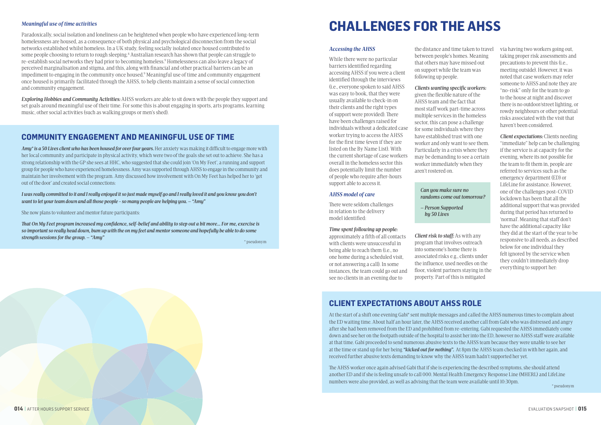#### *Meaningful use of time activities*

Paradoxically, social isolation and loneliness can be heightened when people who have experienced long-term homelessness are housed, as a consequence of both physical and psychological disconnection from the social networks established whilst homeless. In a UK study, feeling socially isolated once housed contributed to some people choosing to return to rough sleeping.<sup>8</sup> Australian research has shown that people can struggle to re-establish social networks they had prior to becoming homeless.9 Homelessness can also leave a legacy of perceived marginalisation and stigma, and this, along with financial and other practical barriers can be an impediment to engaging in the community once housed.<sup>9</sup> Meaningful use of time and community engagement once housed is primarily facilitated through the AHSS, to help clients maintain a sense of social connection and community engagement.

*Exploring Hobbies and Community Activities:* AHSS workers are able to sit down with the people they support and set goals around meaningful use of their time. For some this is about engaging in sports, arts programs, learning music, other social activities (such as walking groups or men's shed).

### **COMMUNITY ENGAGEMENT AND MEANINGFUL USE OF TIME**

*Amy\* is a 50 Lives client who has been housed for over four years.* Her anxiety was making it difficult to engage more with her local community and participate in physical activity, which were two of the goals she set out to achieve. She has a strong relationship with the GP she sees at HHC, who suggested that she could join 'On My Feet', a running and support group for people who have experienced homelessness. Amy was supported through AHSS to engage in the community and maintain her involvement with the program. Amy discussed how involvement with On My Feet has helped her to 'get out of the door' and created social connections:

*I was really committed to it and I really enjoyed it so just made myself go and I really loved it and you know you don't want to let your team down and all those people - so many people are helping you. – "Amy"*

She now plans to volunteer and mentor future participants:

*That On My Feet program increased my confidence, self-belief and ability to step out a bit more... For me, exercise is so important so really head down, bum up with the on my feet and mentor someone and hopefully be able to do some strength sessions for the group. – "Amy"*

#### *Accessing the AHSS*

While there were no particular barriers identified regarding accessing AHSS if you were a client identified through the interviews (i.e., everyone spoken to said AHSS was easy to book, that they were usually available to check-in on their clients and the right types of support were provided). There have been challenges raised for individuals without a dedicated case worker trying to access the AHSS for the first time (even if they are listed on the By Name List). With the current shortage of case workers overall in the homeless sector this does potentially limit the number of people who require after-hours support able to access it.

#### *AHSS model of care*

There were seldom challenges in relation to the delivery model identified:

#### *Time spent following up people:*

approximately a fifth of all contacts with clients were unsuccessful in being able to reach them (i.e., no one home during a scheduled visit, or not answering a call). In some instances, the team could go out and see no clients in an evening due to

the distance and time taken to travel between people's homes. Meaning that others may have missed out on support while the team was following up people.

### *Clients wanting specific workers:*

given the flexible nature of the AHSS team and the fact that most staff work part-time across multiple services in the homeless sector, this can pose a challenge for some individuals where they have established trust with one worker and only want to see them. Particularly in a crisis where they may be demanding to see a certain worker immediately when they aren't rostered on.

#### *Can you make sure no randoms come out tomorrow?*

*– Person Supported by 50 Lives*

*Client risk to staff:* As with any program that involves outreach into someone's home there is associated risks e.g., clients under the influence, used needles on the floor, violent partners staying in the property. Part of this is mitigated

via having two workers going out, taking proper risk assessments and precautions to prevent this (i.e., meeting outside). However, it was noted that case workers may refer someone to AHSS and note they are "no-risk" only for the team to go to the house at night and discover there is no outdoor/street lighting, or rowdy neighbours or other potential risks associated with the visit that haven't been considered.

*Client expectations:* Clients needing "immediate" help can be challenging if the service is at capacity for the evening, where its not possible for the team to fit them in, people are referred to services such as the emergency department (ED) or LifeLine for assistance. However, one of the challenges post-COVID lockdown has been that all the additional support that was provided during that period has returned to 'normal'. Meaning that staff don't have the additional capacity like they did at the start of the year to be responsive to all needs, as described below for one individual they felt ignored by the service when they couldn't immediately drop everything to support her:



## **CLIENT EXPECTATIONS ABOUT AHSS ROLE**

At the start of a shift one evening Gabi\* sent multiple messages and called the AHSS numerous times to complain about the ED waiting time. About half an hour later, the AHSS received another call from Gabi who was distressed and angry after she had been removed from the ED and prohibited from re-entering. Gabi requested the AHSS immediately come down and see her on the footpath outside of the hospital to assist her into the ED, however no AHSS staff were available at that time. Gabi proceeded to send numerous abusive texts to the AHSS team because they were unable to see her at the time or stand up for her being *"kicked out for nothing".* At 8pm the AHSS team checked in with her again, and received further abusive texts demanding to know why the AHSS team hadn't supported her yet.

The AHSS worker once again advised Gabi that if she is experiencing the described symptoms, she should attend another ED and if she is feeling unsafe to call 000. Mental Health Emergency Response Line (MHERL) and LifeLine numbers were also provided, as well as advising that the team were available until 10:30pm.

\* pseudonym

\* pseudonym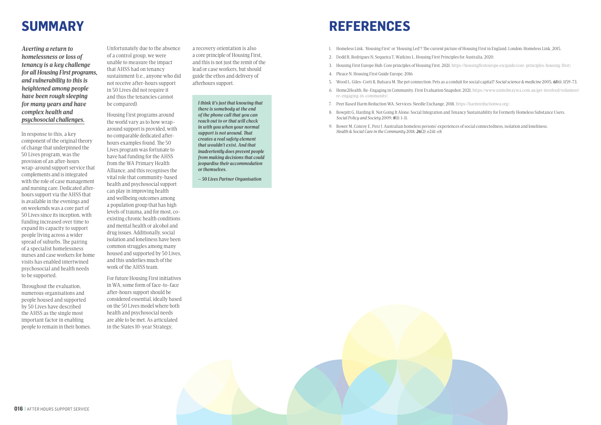

# **REFERENCES**

*Averting a return to homelessness or loss of tenancy is a key challenge for all Housing First programs, and vulnerability to this is heightened among people have been rough sleeping for many years and have complex health and psychosocial challenges.* 

In response to this, a key component of the original theory of change that underpinned the 50 Lives program, was the provision of an after-hours wrap-around support service that complements and is integrated with the role of case management and nursing care. Dedicated afterhours support via the AHSS that is available in the evenings and on weekends was a core part of 50 Lives since its inception, with funding increased over time to expand its capacity to support people living across a wider spread of suburbs. The pairing of a specialist homelessness nurses and case workers for home visits has enabled intertwined psychosocial and health needs to be supported.

Throughout the evaluation, numerous organisations and people housed and supported by 50 Lives have described the AHSS as the single most important factor in enabling people to remain in their homes.

a recovery orientation is also a core principle of Housing First, and this is not just the remit of the lead or case workers, but should guide the ethos and delivery of afterhours support.

Unfortunately due to the absence of a control group, we were unable to measure the impact that AHSS had on tenancy sustainment (i.e., anyone who did not receive after-hours support in 50 Lives did not require it and thus the tenancies cannot be compared).

Housing First programs around the world vary as to how wraparound support is provided, with no comparable dedicated afterhours examples found. The 50 Lives program was fortunate to have had funding for the AHSS from the WA Primary Health Alliance, and this recognises the vital role that community-based health and psychosocial support can play in improving health and wellbeing outcomes among a population group that has high levels of trauma, and for most, coexisting chronic health conditions and mental health or alcohol and drug issues. Additionally, social isolation and loneliness have been common struggles among many housed and supported by 50 Lives, and this underlies much of the work of the AHSS team.

For future Housing First initiatives in WA, some form of face-to-face after-hours support should be considered essential, ideally based on the 50 Lives model where both health and psychosocial needs are able to be met. As articulated in the States 10-year Strategy,

# **SUMMARY**

*I think it's just that knowing that there is somebody at the end of the phone call that you can reach out to or that will check in with you when your normal support is not around. That creates a real safety element that wouldn't exist. And that inadvertently does prevent people from making decisions that could jeopardise their accommodation or themselves.*

*– 50 Lives Partner Organisation*

- 1. Homeless Link. 'Housing First' or 'Housing Led'? The current picture of Housing First in England. London: Homeless Link, 2015.
- 2. Dodd R, Rodrigues N, Sequeira T, Watkins L. Housing First Principles for Australia, 2020.
- 3. Housing First Europe Hub. Core principles of Housing First. 2021. https://housingfirsteurope.eu/guide/core-principles-housing-first/.
- 4. Pleace N. Housing First Guide Europe, 2016.
- 5. Wood L, Giles-Corti B, Bulsara M. The pet connection: Pets as a conduit for social capital? *Social science & medicine* 2005; *61*(6): 1159-73.
- 6. Home2Health. Re-Engaging in Community. First Evaluation Snapshot. 2021. https://www.unitedwaywa.com.au/get-involved/volunteer/ re-engaging-in-community/.
- 7. Peer Based Harm Reduction WA. Services: Needle Exchange. 2018. https://harmreductionwa.org/.
- 8. Bowpitt G, Harding R. Not Going It Alone: Social Integration and Tenancy Sustainability for Formerly Homeless Substance Users. *Social Policy and Society* 2009; *8*(1): 1-11.
- 9. Bower M, Conroy E, Perz J. Australian homeless persons' experiences of social connectedness, isolation and loneliness. *Health & Social Care in the Community* 2018; *26*(2): e241-e8